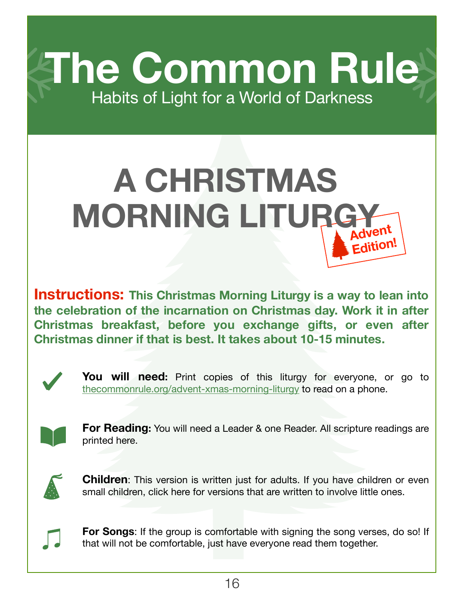**The Common Rule** Habits of Light for a World of Darkness

## **Advent Edition! A CHRISTMAS MORNING LITURGY**

**Instructions: This Christmas Morning Liturgy is a way to lean into the celebration of the incarnation on Christmas day. Work it in after Christmas breakfast, before you exchange gifts, or even after Christmas dinner if that is best. It takes about 10-15 minutes.**



You will need: Print copies of this liturgy for everyone, or go to [thecommonrule.org/advent-xmas-morning-liturgy](https://www.thecommonrule.org/advent-xmas-morning-liturgy) to read on a phone.



**For Reading:** You will need a Leader & one Reader. All scripture readings are printed here.



**Children**: This version is written just for adults. If you have children or even small children, [click here for versions that are written to involve little ones](https://www.thecommonrule.org/advent-xmas-morning-liturgy).



**For Songs**: If the group is comfortable with signing the song verses, do so! If that will not be comfortable, just have everyone read them together.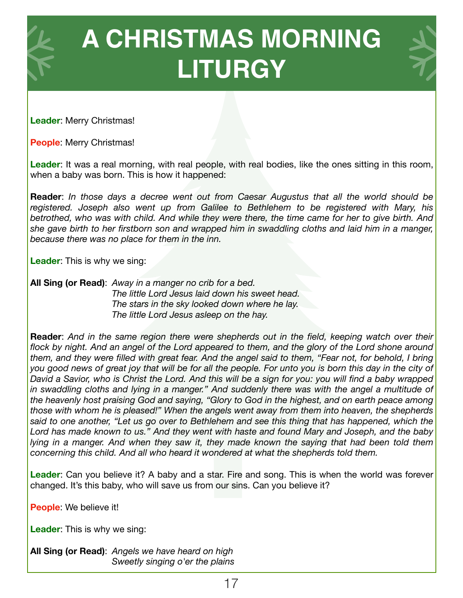

**Leader**: Merry Christmas!

**People**: Merry Christmas!

Leader: It was a real morning, with real people, with real bodies, like the ones sitting in this room, when a baby was born. This is how it happened:

**Reader**: *In those days a decree went out from Caesar Augustus that all the world should be registered. Joseph also went up from Galilee to Bethlehem to be registered with Mary, his betrothed, who was with child. And while they were there, the time came for her to give birth. And she gave birth to her firstborn son and wrapped him in swaddling cloths and laid him in a manger, because there was no place for them in the inn.* 

**Leader**: This is why we sing:

**All Sing (or Read)**: *Away in a manger no crib for a bed. The little Lord Jesus laid down his sweet head. The stars in the sky looked down where he lay. The little Lord Jesus asleep on the hay.* 

**Reader**: *And in the same region there were shepherds out in the field, keeping watch over their flock by night. And an angel of the Lord appeared to them, and the glory of the Lord shone around them, and they were filled with great fear. And the angel said to them, "Fear not, for behold, I bring you good news of great joy that will be for all the people. For unto you is born this day in the city of David a Savior, who is Christ the Lord. And this will be a sign for you: you will find a baby wrapped*  in swaddling cloths and lying in a manger." And suddenly there was with the angel a multitude of *the heavenly host praising God and saying, "Glory to God in the highest, and on earth peace among those with whom he is pleased!" When the angels went away from them into heaven, the shepherds said to one another, "Let us go over to Bethlehem and see this thing that has happened, which the Lord has made known to us." And they went with haste and found Mary and Joseph, and the baby lying in a manger. And when they saw it, they made known the saying that had been told them concerning this child. And all who heard it wondered at what the shepherds told them.*

**Leader**: Can you believe it? A baby and a star. Fire and song. This is when the world was forever changed. It's this baby, who will save us from our sins. Can you believe it?

**People**: We believe it!

**Leader**: This is why we sing:

**All Sing (or Read)**: *Angels we have heard on high Sweetly singing o'er the plains*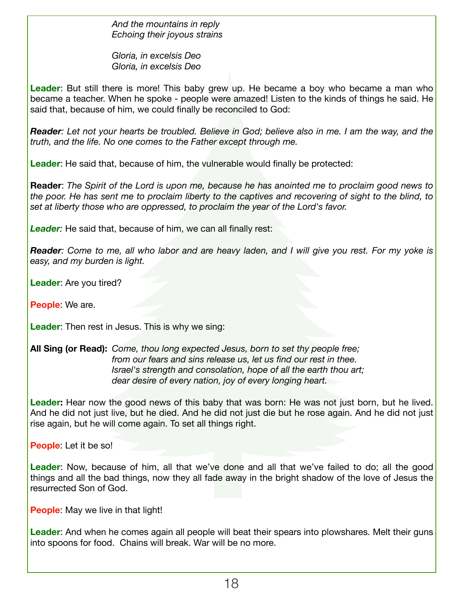*And the mountains in reply Echoing their joyous strains* 

 *Gloria, in excelsis Deo Gloria, in excelsis Deo* 

**Leader**: But still there is more! This baby grew up. He became a boy who became a man who became a teacher. When he spoke - people were amazed! Listen to the kinds of things he said. He said that, because of him, we could finally be reconciled to God:

*Reader: Let not your hearts be troubled. Believe in God; believe also in me. I am the way, and the truth, and the life. No one comes to the Father except through me.* 

**Leader**: He said that, because of him, the vulnerable would finally be protected:

**Reader**: *The Spirit of the Lord is upon me, because he has anointed me to proclaim good news to the poor. He has sent me to proclaim liberty to the captives and recovering of sight to the blind, to set at liberty those who are oppressed, to proclaim the year of the Lord's favor.* 

**Leader**: He said that, because of him, we can all finally rest:

*Reader: Come to me, all who labor and are heavy laden, and I will give you rest. For my yoke is easy, and my burden is light.* 

**Leader**: Are you tired?

**People**: We are.

**Leader**: Then rest in Jesus. This is why we sing:

**All Sing (or Read):** *Come, thou long expected Jesus, born to set thy people free; from our fears and sins release us, let us find our rest in thee. Israel's strength and consolation, hope of all the earth thou art; dear desire of every nation, joy of every longing heart.* 

**Leader:** Hear now the good news of this baby that was born: He was not just born, but he lived. And he did not just live, but he died. And he did not just die but he rose again. And he did not just rise again, but he will come again. To set all things right.

**People**: Let it be so!

**Leader**: Now, because of him, all that we've done and all that we've failed to do; all the good things and all the bad things, now they all fade away in the bright shadow of the love of Jesus the resurrected Son of God.

**People:** May we live in that light!

**Leader**: And when he comes again all people will beat their spears into plowshares. Melt their guns into spoons for food. Chains will break. War will be no more.